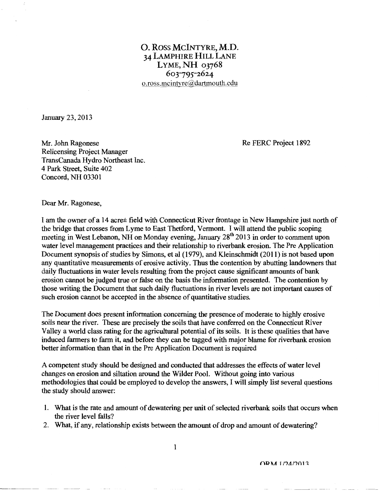## 0. Ross MCINTYRE, M.D. 34 LAMPHIRE HILL LANE LYME,  $NH_{03768}$ *6or795-z6z4*  o.ross.mcintyre@dartmouth.edu

January 23, 2013

Re FERC Project 1892

Mr. John Ragonese Relicensing Project Manager TransCanada Hydro Northeast Inc. 4 Park Street, Suite 402 Concord, NH 03301

Dear Mr. Ragonese,

I am the owner of a 14 acre± field with Connecticut River frontage in New Hampshire just north of the bridge that crosses from Lyme to East Thetford, Vermont. I will attend the public scoping meeting in West Lebanon, NH on Monday evening, January 28<sup>th</sup> 2013 in order to comment upon water level management practices and their relationship to riverbank erosion. The Pre Application Document synopsis of studies by Simons, et al (1979), and Kleinschmidt (2011) is not based upon any quantitative measurements of erosive activity. Thus the contention by abutting landowners that daily fluctuations in water levels resulting from the project cause significant amounts of bank erosion cannot be judged true or false on the basis the information presented. The contention by those writing the Document that such daily fluctuations in river levels are not important causes of such erosion cannot be accepted in the absence of quantitative studies.

The Document does present information concerning the presence of moderate to highly erosive soils near the river. These are precisely the soils that have conferred on the Connecticut River Valley a world class rating for the agricultural potential of its soils. It is these qualities that have induced farmers to farm it, and before they can be tagged with major blame for riverbank erosion better information than that in the Pre Application Document is required

A competent study should be designed and conducted that addresses the effects of water level changes on erosion and siltation around the Wilder Pool. Without going into various methodologies that could be employed to develop the answers, I will simply list several questions the study should answer:

- 1. What is the rate and amount of dewatering per unit of selected riverbank soils that occurs when the river level falls?
- 2. What, if any, relationship exists between the amount of drop and amount of dewatering?

ORM 1/24/2013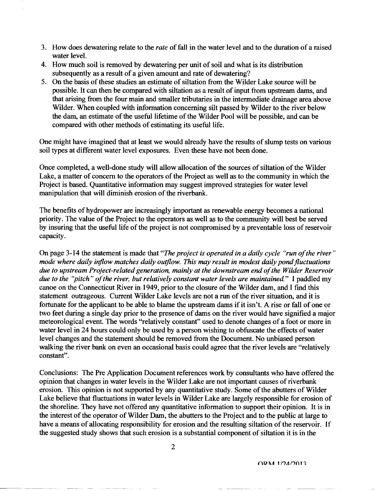- 3. How does dewatering relate to the *rate* of fall in the water level and to the duration of a raised water level.
- 4. How much soil is removed by dewatering per unit of soil and what is its distribution subsequently as a result of a given amount and rate of dewatering?
- 5. On the basis of these studies an estimate of siltation from the Wilder Lake source will be possible. It can then be compared with siltation as a result of input from upstream dams, and that arising from the four main and smaller tributaries in the intermediate drainage area above Wilder. When coupled with information concerning silt passed by Wilder to the river below the dam, an estimate of the useful lifetime of the Wilder Pool will be possible, and can be compared with other methods of estimating its useful life.

One might have imagined that at least we would already have the results of slump tests on various soil types at different water level exposures. Even these have not been done.

Once completed, a well-done study will allow allocation of the sources of siltation of the Wilder Lake, a matter of concern to the operators of the Project as well as to the community in which the Project is based. Quantitative information may suggest improved strategies for water level manipulation that will diminish erosion of the riverbank.

The benefits of hydropower are increasingly important as renewable energy becomes a national priority. The value of the Project to the operators as well as to the community will best be served by insuring that the useful life of the project is not compromised by a preventable loss of reservoir capacity.

On page 3-14 the statement is made that *"The project is operated in a daily cycle "run of the river" mode where daily iriflow matches daily outflow. This may result in modest daily pond fluctuations due to upstream Project-related generation, mainly at the downstream end of the Wilder Reservoir due to the "pitch" of the river, but relatively constant water levels are maintained."* I paddled my canoe on the Connecticut River in 1949, prior to the closure of the Wilder dam, and I fmd this statement outrageous. Current Wilder Lake levels are not a run of the river situation, and it is fortunate for the applicant to be able to blame the upstream dams if it isn't. A rise or fall of one or two feet during a single day prior to the presence of dams on the river would have signified a major meteorological event. The words "relatively constant" used to denote changes of a foot or more in water level in 24 hours could only be used by a person wishing to obfuscate the effects of water level changes and the statement should be removed from the Document. No unbiased person walking the river bank on even an occasional basis could agree that the river levels are "relatively constant".

Conclusions: The Pre Application Document references work by consultants who have offered the opinion that changes in water levels in the Wilder Lake are not important causes of riverbank erosion. This opinion is not supported by any quantitative study. Some of the abutters of Wilder Lake believe that fluctuations in water levels in Wilder Lake are largely responsible for erosion of the shoreline. They have not offered any quantitative information to support their opinion. It is in the interest of the operator of Wilder Dam, the abutters to the Project and to the public at large to have a means of allocating responsibility for erosion and the resulting siltation of the reservoir. If the suggested study shows that such erosion is a substantial component of siltation it is in the

ORM 1/24/2013